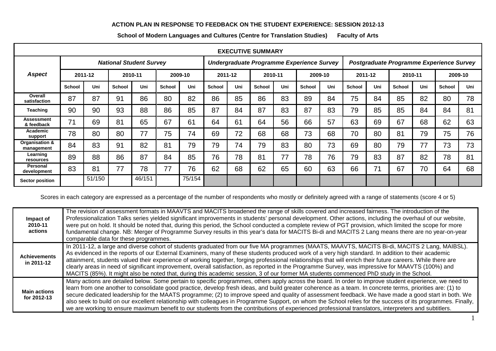## **ACTION PLAN IN RESPONSE TO FEEDBACK ON THE STUDENT EXPERIENCE: SESSION 2012-13**

| <b>EXECUTIVE SUMMARY</b>     |                                |        |               |        |               |        |                                           |     |               |     |               |     |                                          |     |               |     |         |     |
|------------------------------|--------------------------------|--------|---------------|--------|---------------|--------|-------------------------------------------|-----|---------------|-----|---------------|-----|------------------------------------------|-----|---------------|-----|---------|-----|
|                              | <b>National Student Survey</b> |        |               |        |               |        | Undergraduate Programme Experience Survey |     |               |     |               |     | Postgraduate Programme Experience Survey |     |               |     |         |     |
| <b>Aspect</b>                | 2011-12                        |        | 2010-11       |        | 2009-10       |        | 2011-12                                   |     | 2010-11       |     | 2009-10       |     | 2011-12                                  |     | 2010-11       |     | 2009-10 |     |
|                              | <b>School</b>                  | Uni    | <b>School</b> | Uni    | <b>School</b> | Uni    | <b>School</b>                             | Uni | <b>School</b> | Uni | <b>School</b> | Uni | <b>School</b>                            | Uni | <b>School</b> | Uni | School  | Uni |
| Overall<br>satisfaction      | 87                             | 87     | 91            | 86     | 80            | 82     | 86                                        | 85  | 86            | 83  | 89            | 84  | 75                                       | 84  | 85            | 82  | 80      | 78  |
| <b>Teaching</b>              | 90                             | 90     | 93            | 88     | 86            | 85     | 87                                        | 84  | 87            | 83  | 87            | 83  | 79                                       | 85  | 85            | 84  | 84      | 81  |
| Assessment<br>& feedback     | 71                             | 69     | 81            | 65     | 67            | 61     | 64                                        | 61  | 64            | 56  | 66            | 57  | 63                                       | 69  | 67            | 68  | 62      | 63  |
| Academic<br>support          | 78                             | 80     | 80            | 77     | 75            | 74     | 69                                        | 72  | 68            | 68  | 73            | 68  | 70                                       | 80  | 81            | 79  | 75      | 76  |
| Organisation &<br>management | 84                             | 83     | 91            | 82     | 81            | 79     | 79                                        | 74  | 79            | 83  | 80            | 73  | 69                                       | 80  | 79            | 77  | 73      | 73  |
| Learning<br>resources        | 89                             | 88     | 86            | 87     | 84            | 85     | 76                                        | 78  | 81            | 77  | 78            | 76  | 79                                       | 83  | 87            | 82  | 78      | 81  |
| Personal<br>development      | 83                             | 81     | 77            | 78     | 77            | 76     | 62                                        | 68  | 62            | 65  | 60            | 63  | 66                                       | 71  | 67            | 70  | 64      | 68  |
| <b>Sector position</b>       |                                | 51/150 |               | 46/151 |               | 75/154 |                                           |     |               |     |               |     |                                          |     |               |     |         |     |

**School of Modern Languages and Cultures (Centre for Translation Studies) Faculty of Arts**

Scores in each category are expressed as a percentage of the number of respondents who mostly or definitely agreed with a range of statements (score 4 or 5)

| Impact of<br>2010-11<br>actions    | The revision of assessment formats in MAAVTS and MACITS broadened the range of skills covered and increased fairness. The introduction of the<br>Professionalization Talks series yielded significant improvements in students' personal development. Other actions, including the overhaul of our website,<br>were put on hold. It should be noted that, during this period, the School conducted a complete review of PGT provision, which limited the scope for more<br>fundamental change. NB: Merger of Programme Survey results in this year's data for MACITS Bi-di and MACITS 2 Lang means there are no year-on-year<br>comparable data for these programmes.                                                                                                                                 |
|------------------------------------|-------------------------------------------------------------------------------------------------------------------------------------------------------------------------------------------------------------------------------------------------------------------------------------------------------------------------------------------------------------------------------------------------------------------------------------------------------------------------------------------------------------------------------------------------------------------------------------------------------------------------------------------------------------------------------------------------------------------------------------------------------------------------------------------------------|
| <b>Achievements</b><br>in 2011-12  | In 2011-12, a large and diverse cohort of students graduated from our five MA programmes (MAATS, MAAVTS, MACITS Bi-di, MACITS 2 Lang, MAIBSL).<br>As evidenced in the reports of our External Examiners, many of these students produced work of a very high standard. In addition to their academic<br>attainment, students valued their experience of working together, forging professional relationships that will enrich their future careers. While there are<br>clearly areas in need of significant improvement, overall satisfaction, as reported in the Programme Survey, was impressive for MAAVTS (100%) and<br>MACITS (85%). It might also be noted that, during this academic session, 3 of our former MA students commenced PhD study in the School.                                   |
| <b>Main actions</b><br>for 2012-13 | Many actions are detailed below. Some pertain to specific programmes, others apply across the board. In order to improve student experience, we need to<br>learn from one another to consolidate good practice, develop fresh ideas, and build greater coherence as a team. In concrete terms, priorities are: (1) to<br>secure dedicated leadership for the MAATS programme; (2) to improve speed and quality of assessment feedback. We have made a good start in both. We<br>also seek to build on our excellent relationship with colleagues in Programme Support, on whom the School relies for the success of its programmes. Finally,<br>we are working to ensure maximum benefit to our students from the contributions of experienced professional translators, interpreters and subtitlers. |